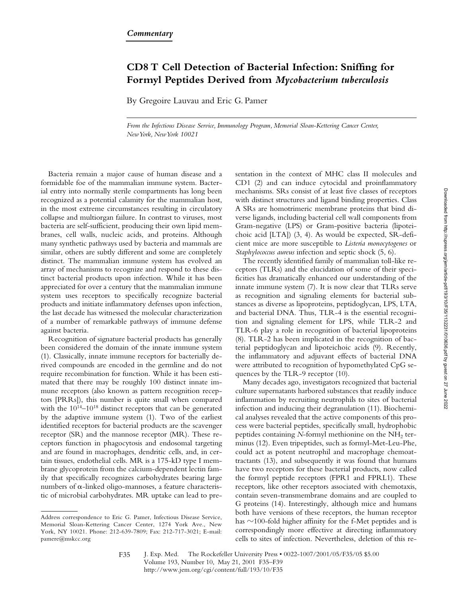## **CD8 T Cell Detection of Bacterial Infection: Sniffing for Formyl Peptides Derived from** *Mycobacterium tuberculosis*

By Gregoire Lauvau and Eric G. Pamer

*From the Infectious Disease Service, Immunology Program, Memorial Sloan-Kettering Cancer Center, New York, New York 10021*

Bacteria remain a major cause of human disease and a formidable foe of the mammalian immune system. Bacterial entry into normally sterile compartments has long been recognized as a potential calamity for the mammalian host, in the most extreme circumstances resulting in circulatory collapse and multiorgan failure. In contrast to viruses, most bacteria are self-sufficient, producing their own lipid membranes, cell walls, nucleic acids, and proteins. Although many synthetic pathways used by bacteria and mammals are similar, others are subtly different and some are completely distinct. The mammalian immune system has evolved an array of mechanisms to recognize and respond to these distinct bacterial products upon infection. While it has been appreciated for over a century that the mammalian immune system uses receptors to specifically recognize bacterial products and initiate inflammatory defenses upon infection, the last decade has witnessed the molecular characterization of a number of remarkable pathways of immune defense against bacteria.

Recognition of signature bacterial products has generally been considered the domain of the innate immune system (1). Classically, innate immune receptors for bacterially derived compounds are encoded in the germline and do not require recombination for function. While it has been estimated that there may be roughly 100 distinct innate immune receptors (also known as pattern recognition receptors [PRRs]), this number is quite small when compared with the  $10^{14}-10^{18}$  distinct receptors that can be generated by the adaptive immune system (1). Two of the earliest identified receptors for bacterial products are the scavenger receptor (SR) and the mannose receptor (MR). These receptors function in phagocytosis and endosomal targeting and are found in macrophages, dendritic cells, and, in certain tissues, endothelial cells. MR is a 175-kD type I membrane glycoprotein from the calcium-dependent lectin family that specifically recognizes carbohydrates bearing large numbers of  $\alpha$ -linked oligo-mannoses, a feature characteristic of microbial carbohydrates. MR uptake can lead to presentation in the context of MHC class II molecules and CD1 (2) and can induce cytocidal and proinflammatory mechanisms. SRs consist of at least five classes of receptors with distinct structures and ligand binding properties. Class A SRs are homotrimeric membrane proteins that bind diverse ligands, including bacterial cell wall components from Gram-negative (LPS) or Gram-positive bacteria (lipoteichoic acid [LTA]) (3, 4). As would be expected, SR-deficient mice are more susceptible to *Listeria monocytogenes* or *Staphylococcus aureus* infection and septic shock (5, 6).

The recently identified family of mammalian toll-like receptors (TLRs) and the elucidation of some of their specificities has dramatically enhanced our understanding of the innate immune system (7). It is now clear that TLRs serve as recognition and signaling elements for bacterial substances as diverse as lipoproteins, peptidoglycan, LPS, LTA, and bacterial DNA. Thus, TLR-4 is the essential recognition and signaling element for LPS, while TLR-2 and TLR-6 play a role in recognition of bacterial lipoproteins (8). TLR-2 has been implicated in the recognition of bacterial peptidoglycan and lipoteichoic acids (9). Recently, the inflammatory and adjuvant effects of bacterial DNA were attributed to recognition of hypomethylated CpG sequences by the TLR-9 receptor (10).

Many decades ago, investigators recognized that bacterial culture supernatants harbored substances that readily induce inflammation by recruiting neutrophils to sites of bacterial infection and inducing their degranulation (11). Biochemical analyses revealed that the active components of this process were bacterial peptides, specifically small, hydrophobic peptides containing  $N$ -formyl methionine on the  $NH<sub>2</sub>$  terminus (12). Even tripeptides, such as formyl-Met-Leu-Phe, could act as potent neutrophil and macrophage chemoattractants (13), and subsequently it was found that humans have two receptors for these bacterial products, now called the formyl peptide receptors (FPR1 and FPRL1). These receptors, like other receptors associated with chemotaxis, contain seven-transmembrane domains and are coupled to G proteins (14). Interestingly, although mice and humans both have versions of these receptors, the human receptor has  $\sim$ 100-fold higher affinity for the f-Met peptides and is correspondingly more effective at directing inflammatory cells to sites of infection. Nevertheless, deletion of this re-

J. Exp. Med. © The Rockefeller University Press • 0022-1007/2001/05/F35/05 \$5.00 Volume 193, Number 10, May 21, 2001 F35–F39 http://www.jem.org/cgi/content/full/193/10/F35 F35

Address correspondence to Eric G. Pamer, Infectious Disease Service, Memorial Sloan-Kettering Cancer Center, 1274 York Ave., New York, NY 10021. Phone: 212-639-7809; Fax: 212-717-3021; E-mail: pamere@mskcc.org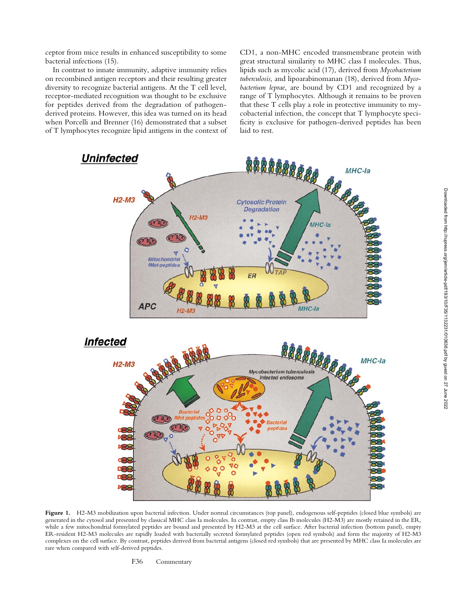ceptor from mice results in enhanced susceptibility to some bacterial infections (15).

In contrast to innate immunity, adaptive immunity relies on recombined antigen receptors and their resulting greater diversity to recognize bacterial antigens. At the T cell level, receptor-mediated recognition was thought to be exclusive for peptides derived from the degradation of pathogenderived proteins. However, this idea was turned on its head when Porcelli and Brenner (16) demonstrated that a subset of T lymphocytes recognize lipid antigens in the context of CD1, a non-MHC encoded transmembrane protein with great structural similarity to MHC class I molecules. Thus, lipids such as mycolic acid (17), derived from *Mycobacterium tuberculosis*, and lipoarabinomanan (18), derived from *Mycobacterium leprae*, are bound by CD1 and recognized by a range of T lymphocytes. Although it remains to be proven that these T cells play a role in protective immunity to mycobacterial infection, the concept that T lymphocyte specificity is exclusive for pathogen-derived peptides has been



Figure 1. H2-M3 mobilization upon bacterial infection. Under normal circumstances (top panel), endogenous self-peptides (closed blue symbols) are generated in the cytosol and presented by classical MHC class Ia molecules. In contrast, empty class Ib molecules (H2-M3) are mostly retained in the ER, while a few mitochondrial formylated peptides are bound and presented by H2-M3 at the cell surface. After bacterial infection (bottom panel), empty ER-resident H2-M3 molecules are rapidly loaded with bacterially secreted formylated peptides (open red symbols) and form the majority of H2-M3 complexes on the cell surface. By contrast, peptides derived from bacterial antigens (closed red symbols) that are presented by MHC class Ia molecules are rare when compared with self-derived peptides.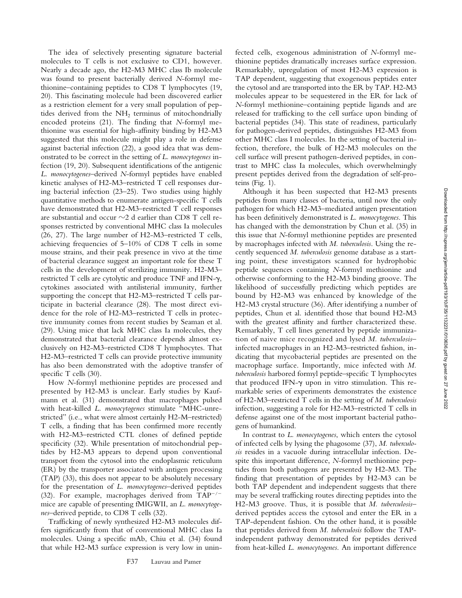The idea of selectively presenting signature bacterial molecules to T cells is not exclusive to CD1, however. Nearly a decade ago, the H2-M3 MHC class Ib molecule was found to present bacterially derived *N*-formyl methionine–containing peptides to CD8 T lymphocytes (19, 20). This fascinating molecule had been discovered earlier as a restriction element for a very small population of peptides derived from the NH<sub>2</sub> terminus of mitochondrially encoded proteins (21). The finding that *N*-formyl methionine was essential for high-affinity binding by H2-M3 suggested that this molecule might play a role in defense against bacterial infection (22), a good idea that was demonstrated to be correct in the setting of *L. monocytogenes* infection (19, 20). Subsequent identifications of the antigenic *L. monocytogenes*–derived *N*-formyl peptides have enabled kinetic analyses of H2-M3–restricted T cell responses during bacterial infection (23–25). Two studies using highly quantitative methods to enumerate antigen-specific T cells have demonstrated that H2-M3–restricted T cell responses are substantial and occur  $\sim$ 2 d earlier than CD8 T cell responses restricted by conventional MHC class Ia molecules (26, 27). The large number of H2-M3–restricted T cells, achieving frequencies of 5–10% of CD8 T cells in some mouse strains, and their peak presence in vivo at the time of bacterial clearance suggest an important role for these T cells in the development of sterilizing immunity. H2-M3– restricted T cells are cytolytic and produce TNF and IFN-g, cytokines associated with antilisterial immunity, further supporting the concept that H2-M3–restricted T cells participate in bacterial clearance (28). The most direct evidence for the role of H2-M3–restricted T cells in protective immunity comes from recent studies by Seaman et al. (29). Using mice that lack MHC class Ia molecules, they demonstrated that bacterial clearance depends almost exclusively on H2-M3–restricted CD8 T lymphocytes. That H2-M3–restricted T cells can provide protective immunity has also been demonstrated with the adoptive transfer of specific T cells (30).

How *N*-formyl methionine peptides are processed and presented by H2-M3 is unclear. Early studies by Kaufmann et al. (31) demonstrated that macrophages pulsed with heat-killed *L. monocytogenes* stimulate "MHC-unrestricted" (i.e., what were almost certainly H2-M–restricted) T cells, a finding that has been confirmed more recently with H2-M3–restricted CTL clones of defined peptide specificity (32). While presentation of mitochondrial peptides by H2-M3 appears to depend upon conventional transport from the cytosol into the endoplasmic reticulum (ER) by the transporter associated with antigen processing (TAP) (33), this does not appear to be absolutely necessary for the presentation of *L. monocytogenes*–derived peptides (32). For example, macrophages derived from  $TAP^{-/-}$ mice are capable of presenting fMIGWII, an *L. monocytogenes*–derived peptide, to CD8 T cells (32).

Trafficking of newly synthesized H2-M3 molecules differs significantly from that of conventional MHC class Ia molecules. Using a specific mAb, Chiu et al. (34) found that while H2-M3 surface expression is very low in uninfected cells, exogenous administration of *N*-formyl methionine peptides dramatically increases surface expression. Remarkably, upregulation of most H2-M3 expression is TAP dependent, suggesting that exogenous peptides enter the cytosol and are transported into the ER by TAP. H2-M3 molecules appear to be sequestered in the ER for lack of *N*-formyl methionine–containing peptide ligands and are released for trafficking to the cell surface upon binding of bacterial peptides (34). This state of readiness, particularly for pathogen-derived peptides, distinguishes H2-M3 from other MHC class I molecules. In the setting of bacterial infection, therefore, the bulk of H2-M3 molecules on the cell surface will present pathogen-derived peptides, in contrast to MHC class Ia molecules, which overwhelmingly present peptides derived from the degradation of self-proteins (Fig. 1).

Although it has been suspected that H2-M3 presents peptides from many classes of bacteria, until now the only pathogen for which H2-M3–mediated antigen presentation has been definitively demonstrated is *L. monocytogenes*. This has changed with the demonstration by Chun et al. (35) in this issue that *N*-formyl methionine peptides are presented by macrophages infected with *M. tuberculosis*. Using the recently sequenced *M. tuberculosis* genome database as a starting point, these investigators scanned for hydrophobic peptide sequences containing *N*-formyl methionine and otherwise conforming to the H2-M3 binding groove. The likelihood of successfully predicting which peptides are bound by H2-M3 was enhanced by knowledge of the H2-M3 crystal structure (36). After identifying a number of peptides, Chun et al. identified those that bound H2-M3 with the greatest affinity and further characterized these. Remarkably, T cell lines generated by peptide immunization of naive mice recognized and lysed *M. tuberculosis*– infected macrophages in an H2-M3–restricted fashion, indicating that mycobacterial peptides are presented on the macrophage surface. Importantly, mice infected with *M. tuberculosis* harbored formyl peptide–specific T lymphocytes that produced IFN-g upon in vitro stimulation. This remarkable series of experiments demonstrates the existence of H2-M3–restricted T cells in the setting of *M. tuberculosis* infection, suggesting a role for H2-M3–restricted T cells in defense against one of the most important bacterial pathogens of humankind.

In contrast to *L. monocytogenes*, which enters the cytosol of infected cells by lysing the phagosome (37), *M. tuberculosis* resides in a vacuole during intracellular infection. Despite this important difference, *N*-formyl methionine peptides from both pathogens are presented by H2-M3. The finding that presentation of peptides by H2-M3 can be both TAP dependent and independent suggests that there may be several trafficking routes directing peptides into the H2-M3 groove. Thus, it is possible that *M. tuberculosis*– derived peptides access the cytosol and enter the ER in a TAP-dependent fashion. On the other hand, it is possible that peptides derived from *M. tuberculosis* follow the TAPindependent pathway demonstrated for peptides derived from heat-killed *L. monocytogenes*. An important difference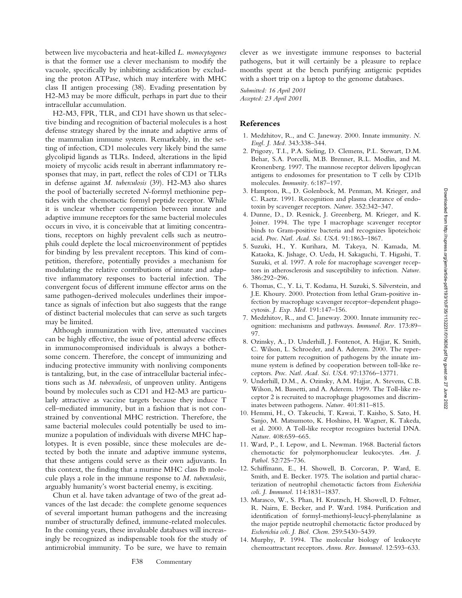between live mycobacteria and heat-killed *L. monocytogenes* is that the former use a clever mechanism to modify the vacuole, specifically by inhibiting acidification by excluding the proton ATPase, which may interfere with MHC class II antigen processing (38). Evading presentation by H2-M3 may be more difficult, perhaps in part due to their intracellular accumulation.

H2-M3, FPR, TLR, and CD1 have shown us that selective binding and recognition of bacterial molecules is a host defense strategy shared by the innate and adaptive arms of the mammalian immune system. Remarkably, in the setting of infection, CD1 molecules very likely bind the same glycolipid ligands as TLRs. Indeed, alterations in the lipid moiety of mycolic acids result in aberrant inflammatory responses that may, in part, reflect the roles of CD1 or TLRs in defense against *M. tuberculosis* (39). H2-M3 also shares the pool of bacterially secreted *N*-formyl methionine peptides with the chemotactic formyl peptide receptor. While it is unclear whether competition between innate and adaptive immune receptors for the same bacterial molecules occurs in vivo, it is conceivable that at limiting concentrations, receptors on highly prevalent cells such as neutrophils could deplete the local microenvironment of peptides for binding by less prevalent receptors. This kind of competition, therefore, potentially provides a mechanism for modulating the relative contributions of innate and adaptive inflammatory responses to bacterial infection. The convergent focus of different immune effector arms on the same pathogen-derived molecules underlines their importance as signals of infection but also suggests that the range of distinct bacterial molecules that can serve as such targets may be limited.

Although immunization with live, attenuated vaccines can be highly effective, the issue of potential adverse effects in immunocompromised individuals is always a bothersome concern. Therefore, the concept of immunizing and inducing protective immunity with nonliving components is tantalizing, but, in the case of intracellular bacterial infections such as *M. tuberculosis*, of unproven utility. Antigens bound by molecules such as CD1 and H2-M3 are particularly attractive as vaccine targets because they induce T cell–mediated immunity, but in a fashion that is not constrained by conventional MHC restriction. Therefore, the same bacterial molecules could potentially be used to immunize a population of individuals with diverse MHC haplotypes. It is even possible, since these molecules are detected by both the innate and adaptive immune systems, that these antigens could serve as their own adjuvants. In this context, the finding that a murine MHC class Ib molecule plays a role in the immune response to *M. tuberculosis*, arguably humanity's worst bacterial enemy, is exciting.

Chun et al. have taken advantage of two of the great advances of the last decade: the complete genome sequences of several important human pathogens and the increasing number of structurally defined, immune-related molecules. In the coming years, these invaluable databases will increasingly be recognized as indispensable tools for the study of antimicrobial immunity. To be sure, we have to remain

clever as we investigate immune responses to bacterial pathogens, but it will certainly be a pleasure to replace months spent at the bench purifying antigenic peptides with a short trip on a laptop to the genome databases.

*Submitted: 16 April 2001 Accepted: 23 April 2001*

## **References**

- 1. Medzhitov, R., and C. Janeway. 2000. Innate immunity. *N. Engl. J. Med.* 343:338–344.
- 2. Prigozy, T.I., P.A. Sieling, D. Clemens, P.L. Stewart, D.M. Behar, S.A. Porcelli, M.B. Brenner, R.L. Modlin, and M. Kronenberg. 1997. The mannose receptor delivers lipoglycan antigens to endosomes for presentation to T cells by CD1b molecules. *Immunity.* 6:187–197.
- 3. Hampton, R., D. Golenbock, M. Penman, M. Krieger, and C. Raetz. 1991. Recognition and plasma clearance of endotoxin by scavenger receptors. *Nature.* 352:342–347.
- 4. Dunne, D., D. Resnick, J. Greenberg, M. Krieger, and K. Joiner. 1994. The type I macrophage scavenger receptor binds to Gram-positive bacteria and recognizes lipoteichoic acid. *Proc. Natl. Acad. Sci. USA.* 91:1863–1867.
- 5. Suzuki, H., Y. Kurihara, M. Takeya, N. Kamada, M. Kataoka, K. Jishage, O. Ueda, H. Sakaguchi, T. Higashi, T. Suzuki, et al. 1997. A role for macrophage scavenger receptors in atherosclerosis and susceptibility to infection. *Nature.* 386:292–296.
- 6. Thomas, C., Y. Li, T. Kodama, H. Suzuki, S. Silverstein, and J.E. Khoury. 2000. Protection from lethal Gram-positive infection by macrophage scavenger receptor–dependent phagocytosis. *J. Exp. Med.* 191:147–156.
- 7. Medzhitov, R., and C. Janeway. 2000. Innate immunity recognition: mechanisms and pathways. *Immunol. Rev.* 173:89– 97.
- 8. Ozinsky, A., D. Underhill, J. Fontenot, A. Hajjar, K. Smith, C. Wilson, L. Schroeder, and A. Aderem. 2000. The repertoire for pattern recognition of pathogens by the innate immune system is defined by cooperation between toll-like receptors. *Proc. Natl. Acad. Sci. USA.* 97:13766–13771.
- 9. Underhill, D.M., A. Ozinsky, A.M. Hajjar, A. Stevens, C.B. Wilson, M. Bassetti, and A. Aderem. 1999. The Toll-like receptor 2 is recruited to macrophage phagosomes and discriminates between pathogens. *Nature.* 401:811–815.
- 10. Hemmi, H., O. Takeuchi, T. Kawai, T. Kaisho, S. Sato, H. Sanjo, M. Matsumoto, K. Hoshino, H. Wagner, K. Takeda, et al. 2000. A Toll-like receptor recognizes bacterial DNA. *Nature.* 408:659–665.
- 11. Ward, P., I. Lepow, and L. Newman. 1968. Bacterial factors chemotactic for polymorphonuclear leukocytes. *Am. J. Pathol.* 52:725–736.
- 12. Schiffmann, E., H. Showell, B. Corcoran, P. Ward, E. Smith, and E. Becker. 1975. The isolation and partial characterization of neutrophil chemotactic factors from *Escherichia coli*. *J. Immunol.* 114:1831–1837.
- 13. Marasco, W., S. Phan, H. Krutzsch, H. Showell, D. Feltner, R. Nairn, E. Becker, and P. Ward. 1984. Purification and identification of formyl-methionyl-leucyl-phenylalanine as the major peptide neutrophil chemotactic factor produced by *Escherichia coli*. *J. Biol. Chem.* 259:5430–5439.
- 14. Murphy, P. 1994. The molecular biology of leukocyte chemoattractant receptors. *Annu. Rev. Immunol.* 12:593–633.